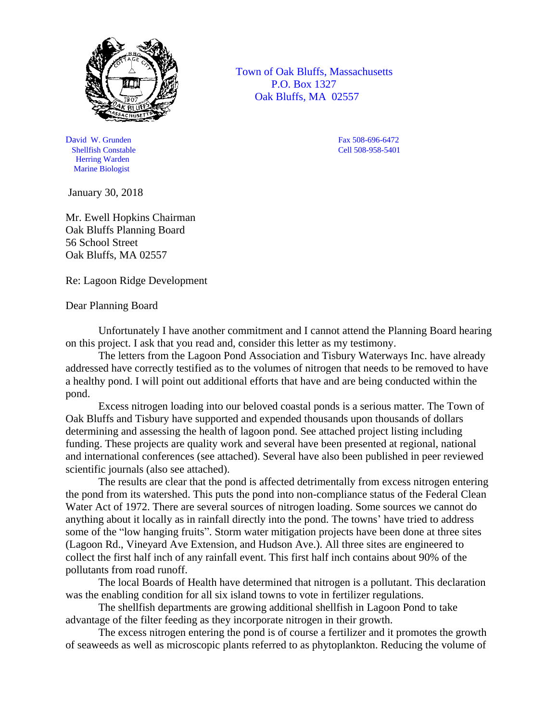

David W. Grunden Fax 508-696-6472<br>
Shellfish Constable Cell 508-958-5401 Shellfish Constable Herring Warden Marine Biologist

January 30, 2018

Mr. Ewell Hopkins Chairman Oak Bluffs Planning Board 56 School Street Oak Bluffs, MA 02557

Re: Lagoon Ridge Development

Dear Planning Board

Unfortunately I have another commitment and I cannot attend the Planning Board hearing on this project. I ask that you read and, consider this letter as my testimony.

The letters from the Lagoon Pond Association and Tisbury Waterways Inc. have already addressed have correctly testified as to the volumes of nitrogen that needs to be removed to have a healthy pond. I will point out additional efforts that have and are being conducted within the pond.

Excess nitrogen loading into our beloved coastal ponds is a serious matter. The Town of Oak Bluffs and Tisbury have supported and expended thousands upon thousands of dollars determining and assessing the health of lagoon pond. See attached project listing including funding. These projects are quality work and several have been presented at regional, national and international conferences (see attached). Several have also been published in peer reviewed scientific journals (also see attached).

The results are clear that the pond is affected detrimentally from excess nitrogen entering the pond from its watershed. This puts the pond into non-compliance status of the Federal Clean Water Act of 1972. There are several sources of nitrogen loading. Some sources we cannot do anything about it locally as in rainfall directly into the pond. The towns' have tried to address some of the "low hanging fruits". Storm water mitigation projects have been done at three sites (Lagoon Rd., Vineyard Ave Extension, and Hudson Ave.). All three sites are engineered to collect the first half inch of any rainfall event. This first half inch contains about 90% of the pollutants from road runoff.

The local Boards of Health have determined that nitrogen is a pollutant. This declaration was the enabling condition for all six island towns to vote in fertilizer regulations.

The shellfish departments are growing additional shellfish in Lagoon Pond to take advantage of the filter feeding as they incorporate nitrogen in their growth.

The excess nitrogen entering the pond is of course a fertilizer and it promotes the growth of seaweeds as well as microscopic plants referred to as phytoplankton. Reducing the volume of

 Town of Oak Bluffs, Massachusetts P.O. Box 1327 Oak Bluffs, MA 02557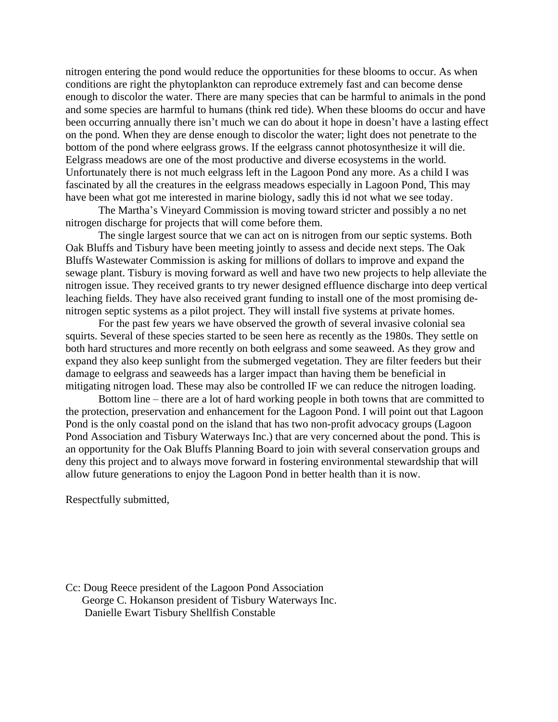nitrogen entering the pond would reduce the opportunities for these blooms to occur. As when conditions are right the phytoplankton can reproduce extremely fast and can become dense enough to discolor the water. There are many species that can be harmful to animals in the pond and some species are harmful to humans (think red tide). When these blooms do occur and have been occurring annually there isn't much we can do about it hope in doesn't have a lasting effect on the pond. When they are dense enough to discolor the water; light does not penetrate to the bottom of the pond where eelgrass grows. If the eelgrass cannot photosynthesize it will die. Eelgrass meadows are one of the most productive and diverse ecosystems in the world. Unfortunately there is not much eelgrass left in the Lagoon Pond any more. As a child I was fascinated by all the creatures in the eelgrass meadows especially in Lagoon Pond, This may have been what got me interested in marine biology, sadly this id not what we see today.

The Martha's Vineyard Commission is moving toward stricter and possibly a no net nitrogen discharge for projects that will come before them.

The single largest source that we can act on is nitrogen from our septic systems. Both Oak Bluffs and Tisbury have been meeting jointly to assess and decide next steps. The Oak Bluffs Wastewater Commission is asking for millions of dollars to improve and expand the sewage plant. Tisbury is moving forward as well and have two new projects to help alleviate the nitrogen issue. They received grants to try newer designed effluence discharge into deep vertical leaching fields. They have also received grant funding to install one of the most promising denitrogen septic systems as a pilot project. They will install five systems at private homes.

For the past few years we have observed the growth of several invasive colonial sea squirts. Several of these species started to be seen here as recently as the 1980s. They settle on both hard structures and more recently on both eelgrass and some seaweed. As they grow and expand they also keep sunlight from the submerged vegetation. They are filter feeders but their damage to eelgrass and seaweeds has a larger impact than having them be beneficial in mitigating nitrogen load. These may also be controlled IF we can reduce the nitrogen loading.

Bottom line – there are a lot of hard working people in both towns that are committed to the protection, preservation and enhancement for the Lagoon Pond. I will point out that Lagoon Pond is the only coastal pond on the island that has two non-profit advocacy groups (Lagoon Pond Association and Tisbury Waterways Inc.) that are very concerned about the pond. This is an opportunity for the Oak Bluffs Planning Board to join with several conservation groups and deny this project and to always move forward in fostering environmental stewardship that will allow future generations to enjoy the Lagoon Pond in better health than it is now.

Respectfully submitted,

Cc: Doug Reece president of the Lagoon Pond Association George C. Hokanson president of Tisbury Waterways Inc. Danielle Ewart Tisbury Shellfish Constable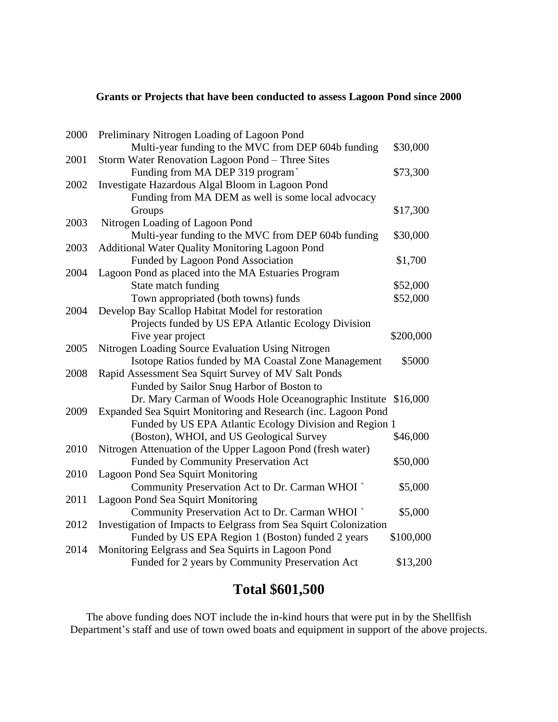## **Grants or Projects that have been conducted to assess Lagoon Pond since 2000**

| 2000 | Preliminary Nitrogen Loading of Lagoon Pond                       |           |
|------|-------------------------------------------------------------------|-----------|
|      | Multi-year funding to the MVC from DEP 604b funding               | \$30,000  |
| 2001 | Storm Water Renovation Lagoon Pond - Three Sites                  |           |
|      | Funding from MA DEP 319 program`                                  | \$73,300  |
| 2002 | Investigate Hazardous Algal Bloom in Lagoon Pond                  |           |
|      | Funding from MA DEM as well is some local advocacy                |           |
|      | Groups                                                            | \$17,300  |
| 2003 | Nitrogen Loading of Lagoon Pond                                   |           |
|      | Multi-year funding to the MVC from DEP 604b funding               | \$30,000  |
| 2003 | Additional Water Quality Monitoring Lagoon Pond                   |           |
|      | Funded by Lagoon Pond Association                                 | \$1,700   |
| 2004 | Lagoon Pond as placed into the MA Estuaries Program               |           |
|      | State match funding                                               | \$52,000  |
|      | Town appropriated (both towns) funds                              | \$52,000  |
| 2004 | Develop Bay Scallop Habitat Model for restoration                 |           |
|      | Projects funded by US EPA Atlantic Ecology Division               |           |
|      | Five year project                                                 | \$200,000 |
| 2005 | Nitrogen Loading Source Evaluation Using Nitrogen                 |           |
|      | Isotope Ratios funded by MA Coastal Zone Management               | \$5000    |
| 2008 | Rapid Assessment Sea Squirt Survey of MV Salt Ponds               |           |
|      | Funded by Sailor Snug Harbor of Boston to                         |           |
|      | Dr. Mary Carman of Woods Hole Oceanographic Institute \$16,000    |           |
| 2009 | Expanded Sea Squirt Monitoring and Research (inc. Lagoon Pond     |           |
|      | Funded by US EPA Atlantic Ecology Division and Region 1           |           |
|      | (Boston), WHOI, and US Geological Survey                          | \$46,000  |
| 2010 | Nitrogen Attenuation of the Upper Lagoon Pond (fresh water)       |           |
|      | Funded by Community Preservation Act                              | \$50,000  |
| 2010 | <b>Lagoon Pond Sea Squirt Monitoring</b>                          |           |
|      | Community Preservation Act to Dr. Carman WHOI `                   | \$5,000   |
| 2011 | Lagoon Pond Sea Squirt Monitoring                                 |           |
|      | Community Preservation Act to Dr. Carman WHOI `                   | \$5,000   |
| 2012 | Investigation of Impacts to Eelgrass from Sea Squirt Colonization |           |
|      | Funded by US EPA Region 1 (Boston) funded 2 years                 | \$100,000 |
| 2014 | Monitoring Eelgrass and Sea Squirts in Lagoon Pond                |           |
|      | Funded for 2 years by Community Preservation Act                  | \$13,200  |

## **Total \$601,500**

The above funding does NOT include the in-kind hours that were put in by the Shellfish Department's staff and use of town owed boats and equipment in support of the above projects.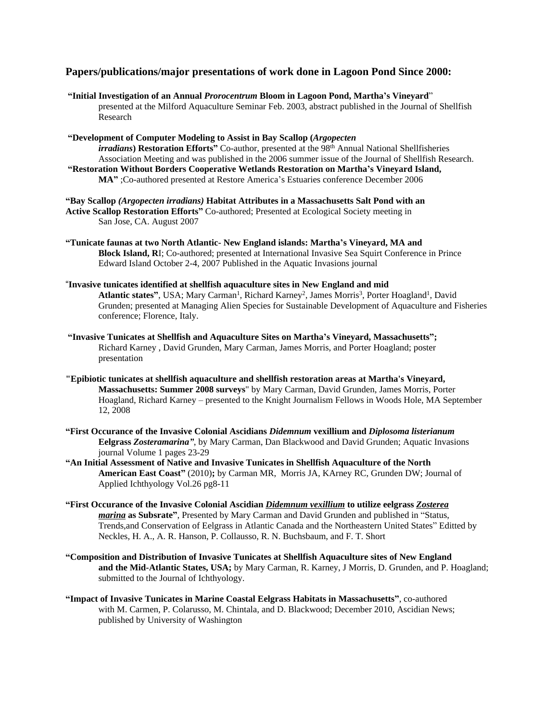## **Papers/publications/major presentations of work done in Lagoon Pond Since 2000:**

**"Initial Investigation of an Annual** *Prorocentrum* **Bloom in Lagoon Pond, Martha's Vineyard**" presented at the Milford Aquaculture Seminar Feb. 2003, abstract published in the Journal of Shellfish Research

**"Development of Computer Modeling to Assist in Bay Scallop (***Argopecten irradians***) Restoration Efforts"** Co-author, presented at the 98th Annual National Shellfisheries Association Meeting and was published in the 2006 summer issue of the Journal of Shellfish Research. **"Restoration Without Borders Cooperative Wetlands Restoration on Martha's Vineyard Island, MA"** ;Co-authored presented at Restore America's Estuaries conference December 2006

**"Bay Scallop** *(Argopecten irradians)* **Habitat Attributes in a Massachusetts Salt Pond with an Active Scallop Restoration Efforts"** Co-authored; Presented at Ecological Society meeting in San Jose, CA. August 2007

**"Tunicate faunas at two North Atlantic- New England islands: Martha's Vineyard, MA and Block Island, R**I; Co-authored; presented at International Invasive Sea Squirt Conference in Prince Edward Island October 2-4, 2007 Published in the Aquatic Invasions journal

"**Invasive tunicates identified at shellfish aquaculture sites in New England and mid** Atlantic states", USA; Mary Carman<sup>1</sup>, Richard Karney<sup>2</sup>, James Morris<sup>3</sup>, Porter Hoagland<sup>1</sup>, David Grunden; presented at Managing Alien Species for Sustainable Development of Aquaculture and Fisheries conference; Florence, Italy.

**"Invasive Tunicates at Shellfish and Aquaculture Sites on Martha's Vineyard, Massachusetts";** Richard Karney , David Grunden, Mary Carman, James Morris, and Porter Hoagland; poster presentation

**"Epibiotic tunicates at shellfish aquaculture and shellfish restoration areas at Martha's Vineyard, Massachusetts: Summer 2008 surveys**" by Mary Carman, David Grunden, James Morris, Porter Hoagland, Richard Karney – presented to the Knight Journalism Fellows in Woods Hole, MA September 12, 2008

**"First Occurance of the Invasive Colonial Ascidians** *Didemnum* **vexillium and** *Diplosoma listerianum* **Eelgrass** *Zosteramarina"*, by Mary Carman, Dan Blackwood and David Grunden; Aquatic Invasions journal Volume 1 pages 23-29

**"An Initial Assessment of Native and Invasive Tunicates in Shellfish Aquaculture of the North American East Coast"** (2010)**;** by Carman MR, Morris JA, KArney RC, Grunden DW; Journal of Applied Ichthyology Vol.26 pg8-11

- **"First Occurance of the Invasive Colonial Ascidian** *Didemnum vexillium* **to utilize eelgrass** *Zosterea marina* **as Subsrate"**, Presented by Mary Carman and David Grunden and published in "Status, Trends,and Conservation of Eelgrass in Atlantic Canada and the Northeastern United States" Editted by Neckles, H. A., A. R. Hanson, P. Collausso, R. N. Buchsbaum, and F. T. Short
- **"Composition and Distribution of Invasive Tunicates at Shellfish Aquaculture sites of New England and the Mid-Atlantic States, USA;** by Mary Carman, R. Karney, J Morris, D. Grunden, and P. Hoagland; submitted to the Journal of Ichthyology.
- **"Impact of Invasive Tunicates in Marine Coastal Eelgrass Habitats in Massachusetts"**, co-authored with M. Carmen, P. Colarusso, M. Chintala, and D. Blackwood; December 2010, Ascidian News; published by University of Washington